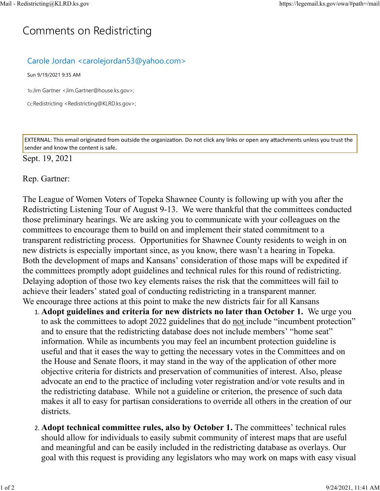## C[omm](https://legemail.ks.gov/owa/#path=/mail)ents on Redistricting

## Carole Jordan <carolejordan53@yahoo.com>

Sun 9/19/2021 9:35 AM

To:Jim Gartner <Jim.Gartner@house.ks.gov>;

Cc:Redistricting <Redistricting@KLRD.ks.gov>;

EXTERNAL: This email originated from outside the organization. Do not click any links or open any attachments unless you trust the sender and know the content is safe.

## Sept. 19, 2021

Rep. Gartner:

The League of Women Voters of Topeka Shawnee County is following up with you after the Redistricting Listening Tour of August 9-13. We were thankful that the committees conducted those preliminary hearings. We are asking you to communicate with your colleagues on the committees to encourage them to build on and implement their stated commitment to a transparent redistricting process. Opportunities for Shawnee County residents to weigh in on new districts is especially important since, as you know, there wasn't a hearing in Topeka. Both the development of maps and Kansans' consideration of those maps will be expedited if the committees promptly adopt guidelines and technical rules for this round of redistricting. Delaying adoption of those two key elements raises the risk that the committees will fail to achieve their leaders' stated goal of conducting redistricting in a transparent manner. We encourage three actions at this point to make the new districts fair for all Kansans

- 1. **Adopt guidelines and criteria for new districts no later than October 1.** We urge you to ask the committees to adopt 2022 guidelines that do not include "incumbent protection" and to ensure that the redistricting database does not include members' "home seat" information. While as incumbents you may feel an incumbent protection guideline is useful and that it eases the way to getting the necessary votes in the Committees and on the House and Senate floors, it may stand in the way of the application of other more objective criteria for districts and preservation of communities of interest. Also, please advocate an end to the practice of including voter registration and/or vote results and in the redistricting database. While not a guideline or criterion, the presence of such data makes it all to easy for partisan considerations to override all others in the creation of our districts.
- 2. **Adopt technical committee rules, also by October 1.** The committees' technical rules should allow for individuals to easily submit community of interest maps that are useful and meaningful and can be easily included in the redistricting database as overlays. Our goal with this request is providing any legislators who may work on maps with easy visual